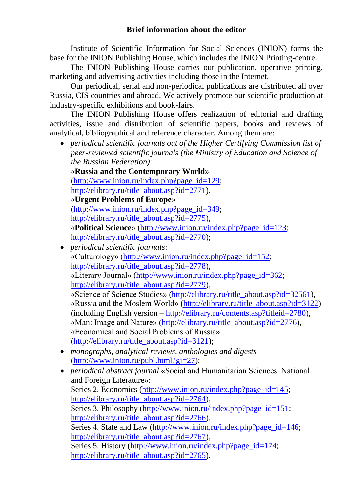Institute of Scientific Information for Social Sciences (INION) forms the base for the INION Publishing House, which includes the INION Printing-centre.

The INION Publishing House carries out publication, operative printing, marketing and advertising activities including those in the Internet.

Our periodical, serial and non-periodical publications are distributed all over Russia, CIS countries and abroad. We actively promote our scientific production at industry-specific exhibitions and book-fairs.

The INION Publishing House offers realization of editorial and drafting activities, issue and distribution of scientific papers, books and reviews of analytical, bibliographical and reference character. Among them are:

 *periodical scientific journals out of the Higher Certifying Commission list of peer-reviewed scientific journals (the Ministry of Education and Science of the Russian Federation)*:

«**Russia and the Contemporary World**» [\(http://www.inion.ru/index.php?page\\_id=129;](http://www.inion.ru/index.php?page_id=129) [http://elibrary.ru/title\\_about.asp?id=2771\)](http://elibrary.ru/title_about.asp?id=2771), «**Urgent Problems of Europe**» [\(http://www.inion.ru/index.php?page\\_id=349;](http://www.inion.ru/index.php?page_id=349) [http://elibrary.ru/title\\_about.asp?id=2775\)](http://elibrary.ru/title_about.asp?id=2775), «**Political Science**» [\(http://www.inion.ru/index.php?page\\_id=123;](http://www.inion.ru/index.php?page_id=123) [http://elibrary.ru/title\\_about.asp?id=2770\)](http://elibrary.ru/title_about.asp?id=2770);

- *periodical scientific journals*: «Culturology» [\(http://www.inion.ru/index.php?page\\_id=152;](http://www.inion.ru/index.php?page_id=152) [http://elibrary.ru/title\\_about.asp?id=2778\)](http://elibrary.ru/title_about.asp?id=2778). «Literary Journal» [\(http://www.inion.ru/index.php?page\\_id=362;](http://www.inion.ru/index.php?page_id=362) [http://elibrary.ru/title\\_about.asp?id=2779\)](http://elibrary.ru/title_about.asp?id=2779). «Science of Science Studies» [\(http://elibrary.ru/title\\_about.asp?id=32561\)](http://elibrary.ru/title_about.asp?id=32561), «Russia and the Moslem World» [\(http://elibrary.ru/title\\_about.asp?id=3122\)](http://elibrary.ru/title_about.asp?id=3122) (including English version – [http://elibrary.ru/contents.asp?titleid=2780\)](http://elibrary.ru/contents.asp?titleid=2780), «Man: Image and Nature» [\(http://elibrary.ru/title\\_about.asp?id=2776\)](http://elibrary.ru/title_about.asp?id=2776), «Economical and Social Problems of Russia» [\(http://elibrary.ru/title\\_about.asp?id=3121\)](http://elibrary.ru/title_about.asp?id=3121);
- *monographs, analytical reviews, anthologies and digests* [\(http://www.inion.ru/publ.html?gi=27\)](http://www.inion.ru/publ.html?gi=27);
- *periodical abstract journal* «Social and Humanitarian Sciences. National and Foreign Literature»: Series 2. Economics [\(http://www.inion.ru/index.php?page\\_id=145;](http://www.inion.ru/index.php?page_id=145) [http://elibrary.ru/title\\_about.asp?id=2764\)](http://elibrary.ru/title_about.asp?id=2764), Series 3. Philosophy [\(http://www.inion.ru/index.php?page\\_id=151;](http://www.inion.ru/index.php?page_id=151) [http://elibrary.ru/title\\_about.asp?id=2766\)](http://elibrary.ru/title_about.asp?id=2766), Series 4. State and Law [\(http://www.inion.ru/index.php?page\\_id=146;](http://www.inion.ru/index.php?page_id=146) [http://elibrary.ru/title\\_about.asp?id=2767\)](http://elibrary.ru/title_about.asp?id=2767), Series 5. History [\(http://www.inion.ru/index.php?page\\_id=174;](http://www.inion.ru/index.php?page_id=174) [http://elibrary.ru/title\\_about.asp?id=2765\)](http://elibrary.ru/title_about.asp?id=2765),